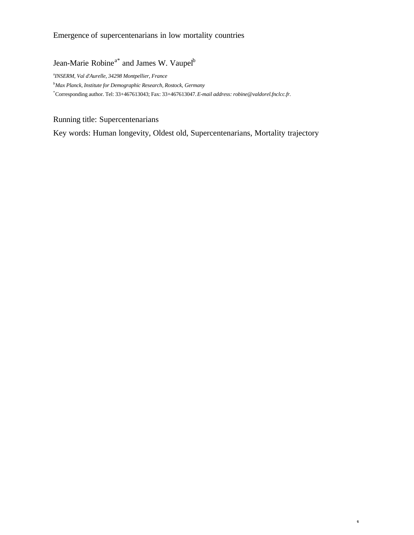# Emergence of supercentenarians in low mortality countries

Jean-Marie Robine<sup>a\*</sup> and James W. Vaupel<sup>b</sup>

a *INSERM, Val d'Aurelle, 34298 Montpellier, France*

*<sup>b</sup>Max Planck, Institute for Demographic Research, Rostock, Germany*

\*Corresponding author. Tel: 33+467613043; Fax: 33+467613047. *E-mail address: robine@valdorel.fnclcc.fr.*

Running title: Supercentenarians

Key words: Human longevity, Oldest old, Supercentenarians, Mortality trajectory

1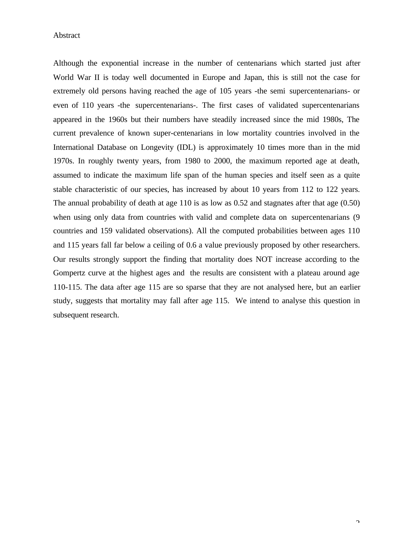Abstract

Although the exponential increase in the number of centenarians which started just after World War II is today well documented in Europe and Japan, this is still not the case for extremely old persons having reached the age of 105 years -the semi supercentenarians- or even of 110 years -the supercentenarians-. The first cases of validated supercentenarians appeared in the 1960s but their numbers have steadily increased since the mid 1980s, The current prevalence of known super-centenarians in low mortality countries involved in the International Database on Longevity (IDL) is approximately 10 times more than in the mid 1970s. In roughly twenty years, from 1980 to 2000, the maximum reported age at death, assumed to indicate the maximum life span of the human species and itself seen as a quite stable characteristic of our species, has increased by about 10 years from 112 to 122 years. The annual probability of death at age 110 is as low as 0.52 and stagnates after that age (0.50) when using only data from countries with valid and complete data on supercentenarians (9) countries and 159 validated observations). All the computed probabilities between ages 110 and 115 years fall far below a ceiling of 0.6 a value previously proposed by other researchers. Our results strongly support the finding that mortality does NOT increase according to the Gompertz curve at the highest ages and the results are consistent with a plateau around age 110-115. The data after age 115 are so sparse that they are not analysed here, but an earlier study, suggests that mortality may fall after age 115. We intend to analyse this question in subsequent research.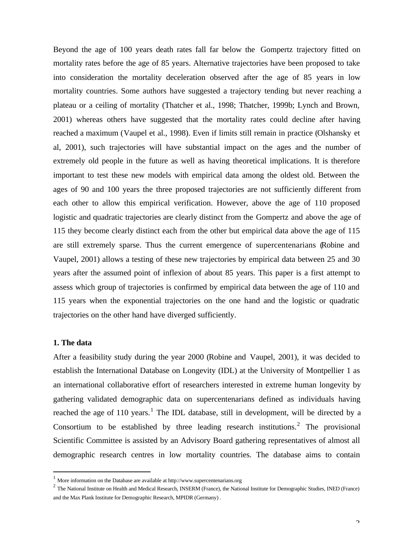Beyond the age of 100 years death rates fall far below the Gompertz trajectory fitted on mortality rates before the age of 85 years. Alternative trajectories have been proposed to take into consideration the mortality deceleration observed after the age of 85 years in low mortality countries. Some authors have suggested a trajectory tending but never reaching a plateau or a ceiling of mortality (Thatcher et al., 1998; Thatcher, 1999b; Lynch and Brown, 2001) whereas others have suggested that the mortality rates could decline after having reached a maximum (Vaupel et al., 1998). Even if limits still remain in practice (Olshansky et al, 2001), such trajectories will have substantial impact on the ages and the number of extremely old people in the future as well as having theoretical implications. It is therefore important to test these new models with empirical data among the oldest old. Between the ages of 90 and 100 years the three proposed trajectories are not sufficiently different from each other to allow this empirical verification. However, above the age of 110 proposed logistic and quadratic trajectories are clearly distinct from the Gompertz and above the age of 115 they become clearly distinct each from the other but empirical data above the age of 115 are still extremely sparse. Thus the current emergence of supercentenarians (Robine and Vaupel, 2001) allows a testing of these new trajectories by empirical data between 25 and 30 years after the assumed point of inflexion of about 85 years. This paper is a first attempt to assess which group of trajectories is confirmed by empirical data between the age of 110 and 115 years when the exponential trajectories on the one hand and the logistic or quadratic trajectories on the other hand have diverged sufficiently.

# **1. The data**

 $\overline{a}$ 

After a feasibility study during the year 2000 (Robine and Vaupel, 2001), it was decided to establish the International Database on Longevity (IDL) at the University of Montpellier 1 as an international collaborative effort of researchers interested in extreme human longevity by gathering validated demographic data on supercentenarians defined as individuals having reached the age of 110 years.<sup>1</sup> The IDL database, still in development, will be directed by a Consortium to be established by three leading research institutions.<sup>2</sup> The provisional Scientific Committee is assisted by an Advisory Board gathering representatives of almost all demographic research centres in low mortality countries. The database aims to contain

 $1$  More information on the Database are available at http://www.supercentenarians.org

 $^2$  The National Institute on Health and Medical Research, INSERM (France), the National Institute for Demographic Studies, INED (France) and the Max Plank Institute for Demographic Research, MPIDR (Germany) .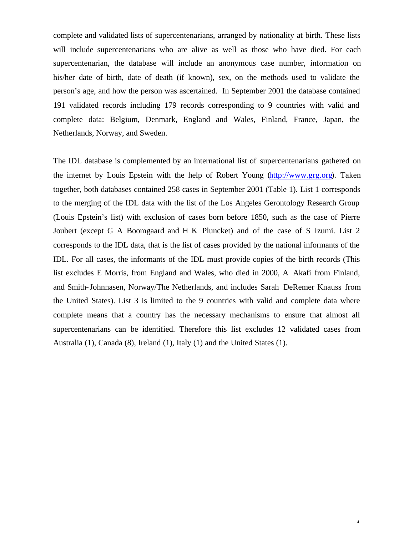complete and validated lists of supercentenarians, arranged by nationality at birth. These lists will include supercentenarians who are alive as well as those who have died. For each supercentenarian, the database will include an anonymous case number, information on his/her date of birth, date of death (if known), sex, on the methods used to validate the person's age, and how the person was ascertained. In September 2001 the database contained 191 validated records including 179 records corresponding to 9 countries with valid and complete data: Belgium, Denmark, England and Wales, Finland, France, Japan, the Netherlands, Norway, and Sweden.

The IDL database is complemented by an international list of supercentenarians gathered on the internet by Louis Epstein with the help of Robert Young (http://www.grg.org). Taken together, both databases contained 258 cases in September 2001 (Table 1). List 1 corresponds to the merging of the IDL data with the list of the Los Angeles Gerontology Research Group (Louis Epstein's list) with exclusion of cases born before 1850, such as the case of Pierre Joubert (except G A Boomgaard and H K Pluncket) and of the case of S Izumi. List 2 corresponds to the IDL data, that is the list of cases provided by the national informants of the IDL. For all cases, the informants of the IDL must provide copies of the birth records (This list excludes E Morris, from England and Wales, who died in 2000, A Akafi from Finland, and Smith-Johnnasen, Norway/The Netherlands, and includes Sarah DeRemer Knauss from the United States). List 3 is limited to the 9 countries with valid and complete data where complete means that a country has the necessary mechanisms to ensure that almost all supercentenarians can be identified. Therefore this list excludes 12 validated cases from Australia (1), Canada (8), Ireland (1), Italy (1) and the United States (1).

4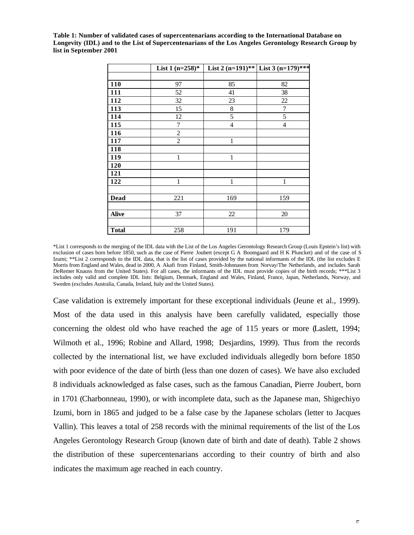**Table 1: Number of validated cases of supercentenarians according to the International Database on Longevity (IDL) and to the List of Supercentenarians of the Los Angeles Gerontology Research Group by list in September 2001**

|              | List 1 $(n=258)$ * | List 2 $(n=191)$ ** | List 3 $(n=179)$ *** |
|--------------|--------------------|---------------------|----------------------|
|              |                    |                     |                      |
| 110          | 97                 | 85                  | 82                   |
| 111          | 52                 | 41                  | 38                   |
| 112          | 32                 | 23                  | 22                   |
| 113          | 15                 | 8                   | 7                    |
| 114          | 12                 | 5                   | 5                    |
| 115          | $\boldsymbol{7}$   | $\overline{4}$      | $\overline{4}$       |
| 116          | $\overline{c}$     |                     |                      |
| 117          | $\overline{2}$     | $\mathbf{1}$        |                      |
| 118          |                    |                     |                      |
| 119          | 1                  | $\mathbf{1}$        |                      |
| 120          |                    |                     |                      |
| 121          |                    |                     |                      |
| 122          | 1                  | 1                   | 1                    |
|              |                    |                     |                      |
| <b>Dead</b>  | 221                | 169                 | 159                  |
|              |                    |                     |                      |
| <b>Alive</b> | 37                 | 22                  | 20                   |
|              |                    |                     |                      |
| <b>Total</b> | 258                | 191                 | 179                  |

\*List 1 corresponds to the merging of the IDL data with the List of the Los Angeles Gerontology Research Group (Louis Epstein's list) with exclusion of cases born before 1850, such as the case of Pierre Joubert (except G A Boomgaard and H K Pluncket) and of the case of S Izumi; \*\*List 2 corresponds to the IDL data, that is the list of cases provided by the national informants of the IDL (the list excludes E Morris from England and Wales, dead in 2000, A Akafi from Finland, Smith-Johnnasen from Norvay/The Netherlands, and includes Sarah DeRemer Knauss from the United States). For all cases, the informants of the IDL must provide copies of the birth records; \*\*\*List 3 includes only valid and complete IDL lists: Belgium, Denmark, England and Wales, Finland, France, Japan, Netherlands, Norway, and Sweden (excludes Australia, Canada, Ireland, Italy and the United States).

Case validation is extremely important for these exceptional individuals (Jeune et al., 1999). Most of the data used in this analysis have been carefully validated, especially those concerning the oldest old who have reached the age of 115 years or more (Laslett, 1994; Wilmoth et al., 1996; Robine and Allard, 1998; Desjardins, 1999). Thus from the records collected by the international list, we have excluded individuals allegedly born before 1850 with poor evidence of the date of birth (less than one dozen of cases). We have also excluded 8 individuals acknowledged as false cases, such as the famous Canadian, Pierre Joubert, born in 1701 (Charbonneau, 1990), or with incomplete data, such as the Japanese man, Shigechiyo Izumi, born in 1865 and judged to be a false case by the Japanese scholars (letter to Jacques Vallin). This leaves a total of 258 records with the minimal requirements of the list of the Los Angeles Gerontology Research Group (known date of birth and date of death). Table 2 shows the distribution of these supercentenarians according to their country of birth and also indicates the maximum age reached in each country.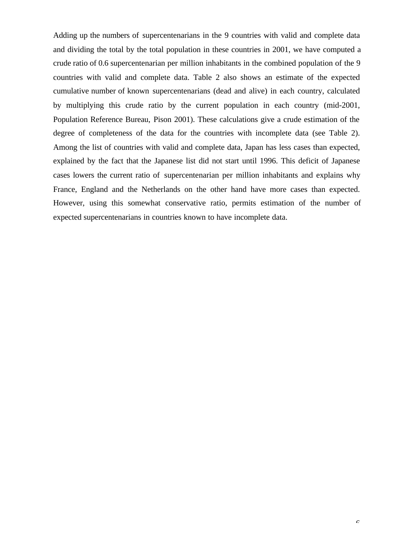Adding up the numbers of supercentenarians in the 9 countries with valid and complete data and dividing the total by the total population in these countries in 2001, we have computed a crude ratio of 0.6 supercentenarian per million inhabitants in the combined population of the 9 countries with valid and complete data. Table 2 also shows an estimate of the expected cumulative number of known supercentenarians (dead and alive) in each country, calculated by multiplying this crude ratio by the current population in each country (mid-2001, Population Reference Bureau, Pison 2001). These calculations give a crude estimation of the degree of completeness of the data for the countries with incomplete data (see Table 2). Among the list of countries with valid and complete data, Japan has less cases than expected, explained by the fact that the Japanese list did not start until 1996. This deficit of Japanese cases lowers the current ratio of supercentenarian per million inhabitants and explains why France, England and the Netherlands on the other hand have more cases than expected. However, using this somewhat conservative ratio, permits estimation of the number of expected supercentenarians in countries known to have incomplete data.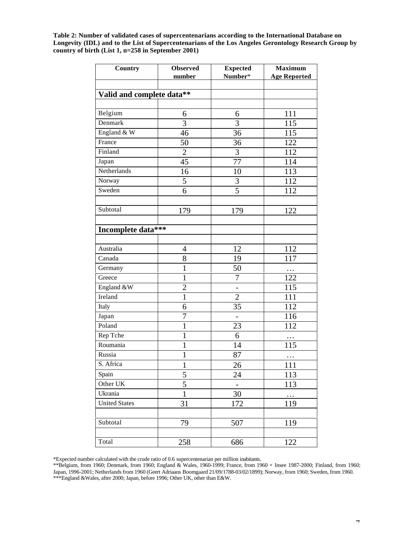**Table 2: Number of validated cases of supercentenarians according to the International Database on Longevity (IDL) and to the List of Supercentenarians of the Los Angeles Gerontology Research Group by country of birth (List 1, n=258 in September 2001)**

| Country                   | <b>Observed</b> | <b>Expected</b>     | <b>Maximum</b>      |
|---------------------------|-----------------|---------------------|---------------------|
|                           | number          | Number*             | <b>Age Reported</b> |
|                           |                 |                     |                     |
| Valid and complete data** |                 |                     |                     |
| Belgium                   |                 |                     | 111                 |
| Denmark                   | 6<br>3          | 6<br>$\overline{3}$ |                     |
|                           |                 |                     | 115                 |
| England & W               | 46              | 36                  | 115                 |
| France                    | 50              | $\overline{3}6$     | 122                 |
| Finland                   | $\overline{2}$  | 3                   | 112                 |
| Japan                     | 45              | 77                  | 114                 |
| Netherlands               | 16              | 10                  | 113                 |
| Norway                    | 5               | $\mathfrak{Z}$      | 112                 |
| Sweden                    | $\overline{6}$  | $\overline{5}$      | 112                 |
|                           |                 |                     |                     |
| Subtotal                  | 179             | 179                 | 122                 |
|                           |                 |                     |                     |
| Incomplete data***        |                 |                     |                     |
|                           |                 |                     |                     |
| Australia                 | 4               | 12                  | 112                 |
| Canada                    | 8               | 19                  | 117                 |
| Germany                   | $\mathbf{1}$    | 50                  | $\cdots$            |
| Greece                    | $\mathbf{1}$    | $\overline{7}$      | 122                 |
| England &W                | $\overline{c}$  |                     | 115                 |
| Ireland                   | $\mathbf{1}$    | $\overline{2}$      | 111                 |
| Italy                     | 6               | 35                  | 112                 |
| Japan                     | $\overline{7}$  |                     | 116                 |
| Poland                    | $\mathbf{1}$    | 23                  | 112                 |
| Rep Tche                  | $\mathbf{1}$    | 6                   | .                   |
| Roumania                  | $\mathbf{1}$    | 14                  | 115                 |
| Russia                    | $\mathbf{1}$    | 87                  | $\cdots$            |
| S. Africa                 | $\mathbf{1}$    | 26                  | 111                 |
| Spain                     | 5               | 24                  | 113                 |
| Other UK                  | 5               | $\qquad \qquad -$   | 113                 |
| Ukrania                   | $\mathbf{1}$    | 30                  |                     |
| <b>United States</b>      | 31              | 172                 | 119                 |
|                           |                 |                     |                     |
| Subtotal                  | 79              | 507                 | 119                 |
|                           |                 |                     |                     |
| Total                     | 258             | 686                 | 122                 |
|                           |                 |                     |                     |

\*Expected number calculated with the crude ratio of 0.6 supercentenarian per million inabitants.

\*\*Belgium, from 1960; Denmark, from 1960; England & Wales, 1960-1999; France, from 1960 + Insee 1987-2000; Finland, from 1960; Japan, 1996-2001; Netherlands from 1960 (Geert Adriaans Boomgaard 21/09/1788-03/02/1899); Norway, from 1960; Sweden, from 1960. \*\*\*England &Wales, after 2000; Japan, before 1996; Other UK, other than E&W.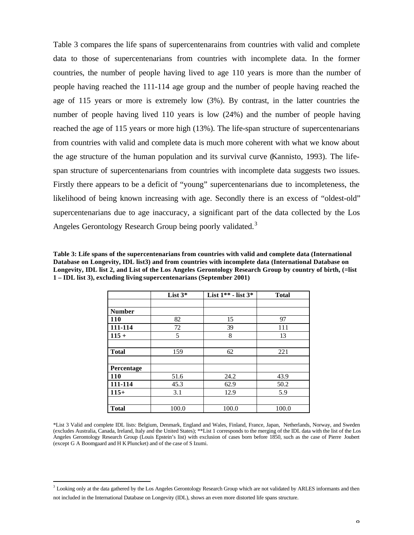Table 3 compares the life spans of supercentenarains from countries with valid and complete data to those of supercentenarians from countries with incomplete data. In the former countries, the number of people having lived to age 110 years is more than the number of people having reached the 111-114 age group and the number of people having reached the age of 115 years or more is extremely low (3%). By contrast, in the latter countries the number of people having lived 110 years is low (24%) and the number of people having reached the age of 115 years or more high (13%). The life-span structure of supercentenarians from countries with valid and complete data is much more coherent with what we know about the age structure of the human population and its survival curve (Kannisto, 1993). The lifespan structure of supercentenarians from countries with incomplete data suggests two issues. Firstly there appears to be a deficit of "young" supercentenarians due to incompleteness, the likelihood of being known increasing with age. Secondly there is an excess of "oldest-old" supercentenarians due to age inaccuracy, a significant part of the data collected by the Los Angeles Gerontology Research Group being poorly validated.<sup>3</sup>

**Table 3: Life spans of the supercentenarians from countries with valid and complete data (International Database on Longevity, IDL list3) and from countries with incomplete data (International Database on Longevity, IDL list 2, and List of the Los Angeles Gerontology Research Group by country of birth, (=list 1 – IDL list 3), excluding living supercentenarians (September 2001)**

|               | List $3*$ | List $1**$ - list $3*$ | <b>Total</b> |
|---------------|-----------|------------------------|--------------|
|               |           |                        |              |
| <b>Number</b> |           |                        |              |
| <b>110</b>    | 82        | 15                     | 97           |
| 111-114       | 72        | 39                     | 111          |
| $115 +$       | 5         | 8                      | 13           |
|               |           |                        |              |
| <b>Total</b>  | 159       | 62                     | 221          |
|               |           |                        |              |
| Percentage    |           |                        |              |
| <b>110</b>    | 51.6      | 24.2                   | 43.9         |
| 111-114       | 45.3      | 62.9                   | 50.2         |
| $115+$        | 3.1       | 12.9                   | 5.9          |
|               |           |                        |              |
| <b>Total</b>  | 100.0     | 100.0                  | 100.0        |

<sup>\*</sup>List 3 Valid and complete IDL lists: Belgium, Denmark, England and Wales, Finland, France, Japan, Netherlands, Norway, and Sweden (excludes Australia, Canada, Ireland, Italy and the United States); \*\*List 1 corresponds to the merging of the IDL data with the list of the Los Angeles Gerontology Research Group (Louis Epstein's list) with exclusion of cases born before 1850, such as the case of Pierre Joubert (except G A Boomgaard and H K Pluncket) and of the case of S Izumi.

 $\overline{a}$ 

<sup>&</sup>lt;sup>3</sup> Looking only at the data gathered by the Los Angeles Gerontology Research Group which are not validated by ARLES informants and then not included in the International Database on Longevity (IDL), shows an even more distorted life spans structure.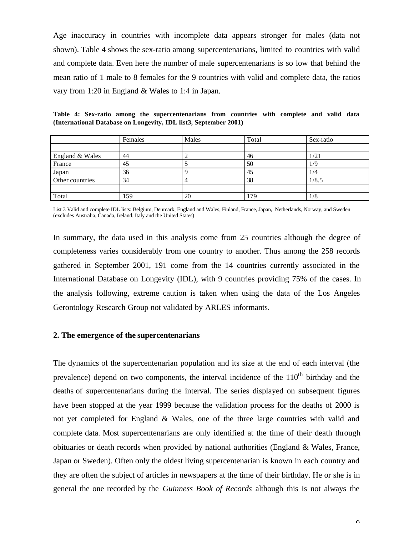Age inaccuracy in countries with incomplete data appears stronger for males (data not shown). Table 4 shows the sex-ratio among supercentenarians, limited to countries with valid and complete data. Even here the number of male supercentenarians is so low that behind the mean ratio of 1 male to 8 females for the 9 countries with valid and complete data, the ratios vary from 1:20 in England & Wales to 1:4 in Japan.

**Table 4: Sex-ratio among the supercentenarians from countries with complete and valid data (International Database on Longevity, IDL list3, September 2001)**

|                 | Females | Males | Total | Sex-ratio |
|-----------------|---------|-------|-------|-----------|
|                 |         |       |       |           |
| England & Wales | 44      |       | 46    | 1/21      |
| France          | 45      |       | 50    | 1/9       |
| Japan           | 36      |       | 45    | 1/4       |
| Other countries | 34      |       | 38    | 1/8.5     |
|                 |         |       |       |           |
| Total           | 159     | 20    | 179   | 1/8       |

List 3 Valid and complete IDL lists: Belgium, Denmark, England and Wales, Finland, France, Japan, Netherlands, Norway, and Sweden (excludes Australia, Canada, Ireland, Italy and the United States)

In summary, the data used in this analysis come from 25 countries although the degree of completeness varies considerably from one country to another. Thus among the 258 records gathered in September 2001, 191 come from the 14 countries currently associated in the International Database on Longevity (IDL), with 9 countries providing 75% of the cases. In the analysis following, extreme caution is taken when using the data of the Los Angeles Gerontology Research Group not validated by ARLES informants.

#### **2. The emergence of the supercentenarians**

The dynamics of the supercentenarian population and its size at the end of each interval (the prevalence) depend on two components, the interval incidence of the  $110<sup>th</sup>$  birthday and the deaths of supercentenarians during the interval. The series displayed on subsequent figures have been stopped at the year 1999 because the validation process for the deaths of 2000 is not yet completed for England & Wales, one of the three large countries with valid and complete data. Most supercentenarians are only identified at the time of their death through obituaries or death records when provided by national authorities (England & Wales, France, Japan or Sweden). Often only the oldest living supercentenarian is known in each country and they are often the subject of articles in newspapers at the time of their birthday. He or she is in general the one recorded by the *Guinness Book of Records* although this is not always the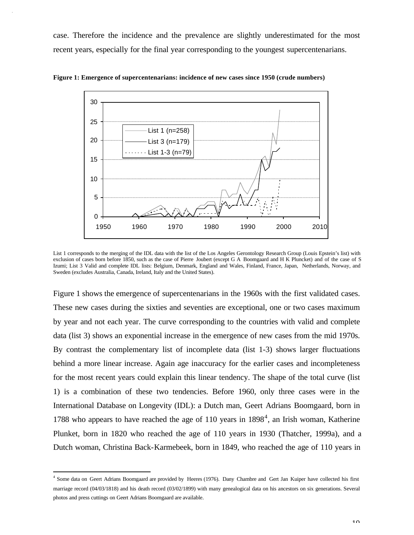case. Therefore the incidence and the prevalence are slightly underestimated for the most recent years, especially for the final year corresponding to the youngest supercentenarians.



**Figure 1: Emergence of supercentenarians: incidence of new cases since 1950 (crude numbers)**

List 1 corresponds to the merging of the IDL data with the list of the Los Angeles Gerontology Research Group (Louis Epstein's list) with exclusion of cases born before 1850, such as the case of Pierre Joubert (except G A Boomgaard and H K Pluncket) and of the case of S Izumi; List 3 Valid and complete IDL lists: Belgium, Denmark, England and Wales, Finland, France, Japan, Netherlands, Norway, and Sweden (excludes Australia, Canada, Ireland, Italy and the United States).

Figure 1 shows the emergence of supercentenarians in the 1960s with the first validated cases. These new cases during the sixties and seventies are exceptional, one or two cases maximum by year and not each year. The curve corresponding to the countries with valid and complete data (list 3) shows an exponential increase in the emergence of new cases from the mid 1970s. By contrast the complementary list of incomplete data (list 1-3) shows larger fluctuations behind a more linear increase. Again age inaccuracy for the earlier cases and incompleteness for the most recent years could explain this linear tendency. The shape of the total curve (list 1) is a combination of these two tendencies. Before 1960, only three cases were in the International Database on Longevity (IDL): a Dutch man, Geert Adrians Boomgaard, born in 1788 who appears to have reached the age of  $110$  years in  $1898<sup>4</sup>$ , an Irish woman, Katherine Plunket, born in 1820 who reached the age of 110 years in 1930 (Thatcher, 1999a), and a Dutch woman, Christina Back-Karmebeek, born in 1849, who reached the age of 110 years in

 $\overline{a}$ 

<sup>4</sup> Some data on Geert Adrians Boomgaard are provided by Heeres (1976). Dany Chambre and Gert Jan Kuiper have collected his first marriage record (04/03/1818) and his death record (03/02/1899) with many genealogical data on his ancestors on six generations. Several photos and press cuttings on Geert Adrians Boomgaard are available.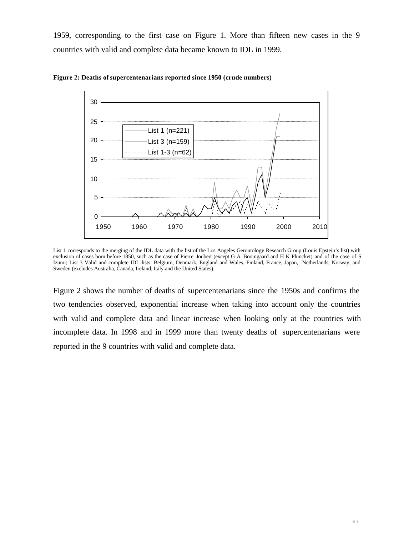1959, corresponding to the first case on Figure 1. More than fifteen new cases in the 9 countries with valid and complete data became known to IDL in 1999.



**Figure 2: Deaths of supercentenarians reported since 1950 (crude numbers)**

Figure 2 shows the number of deaths of supercentenarians since the 1950s and confirms the two tendencies observed, exponential increase when taking into account only the countries with valid and complete data and linear increase when looking only at the countries with incomplete data. In 1998 and in 1999 more than twenty deaths of supercentenarians were reported in the 9 countries with valid and complete data.

List 1 corresponds to the merging of the IDL data with the list of the Los Angeles Gerontology Research Group (Louis Epstein's list) with exclusion of cases born before 1850, such as the case of Pierre Joubert (except G A Boomgaard and H K Pluncket) and of the case of S Izumi; List 3 Valid and complete IDL lists: Belgium, Denmark, England and Wales, Finland, France, Japan, Netherlands, Norway, and Sweden (excludes Australia, Canada, Ireland, Italy and the United States).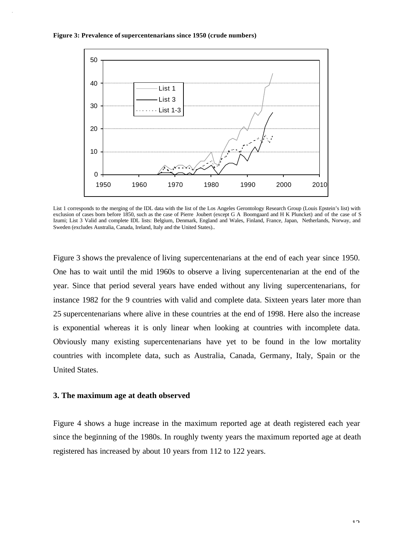



List 1 corresponds to the merging of the IDL data with the list of the Los Angeles Gerontology Research Group (Louis Epstein's list) with exclusion of cases born before 1850, such as the case of Pierre Joubert (except G A Boomgaard and H K Pluncket) and of the case of S Izumi; List 3 Valid and complete IDL lists: Belgium, Denmark, England and Wales, Finland, France, Japan, Netherlands, Norway, and Sweden (excludes Australia, Canada, Ireland, Italy and the United States)..

Figure 3 shows the prevalence of living supercentenarians at the end of each year since 1950. One has to wait until the mid 1960s to observe a living supercentenarian at the end of the year. Since that period several years have ended without any living supercentenarians, for instance 1982 for the 9 countries with valid and complete data. Sixteen years later more than 25 supercentenarians where alive in these countries at the end of 1998. Here also the increase is exponential whereas it is only linear when looking at countries with incomplete data. Obviously many existing supercentenarians have yet to be found in the low mortality countries with incomplete data, such as Australia, Canada, Germany, Italy, Spain or the United States.

## **3. The maximum age at death observed**

Figure 4 shows a huge increase in the maximum reported age at death registered each year since the beginning of the 1980s. In roughly twenty years the maximum reported age at death registered has increased by about 10 years from 112 to 122 years.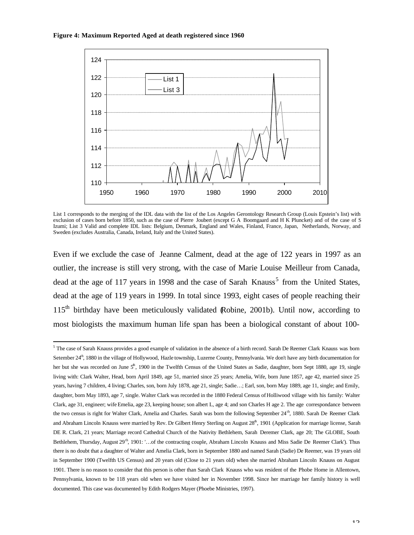#### **Figure 4: Maximum Reported Aged at death registered since 1960**

 $\overline{a}$ 



List 1 corresponds to the merging of the IDL data with the list of the Los Angeles Gerontology Research Group (Louis Epstein's list) with exclusion of cases born before 1850, such as the case of Pierre Joubert (except G A Boomgaard and H K Pluncket) and of the case of S Izumi; List 3 Valid and complete IDL lists: Belgium, Denmark, England and Wales, Finland, France, Japan, Netherlands, Norway, and Sweden (excludes Australia, Canada, Ireland, Italy and the United States).

Even if we exclude the case of Jeanne Calment, dead at the age of 122 years in 1997 as an outlier, the increase is still very strong, with the case of Marie Louise Meilleur from Canada, dead at the age of 117 years in 1998 and the case of Sarah Knauss<sup>5</sup> from the United States, dead at the age of 119 years in 1999. In total since 1993, eight cases of people reaching their  $115<sup>th</sup>$  birthday have been meticulously validated Robine, 2001b). Until now, according to most biologists the maximum human life span has been a biological constant of about 100-

<sup>&</sup>lt;sup>5</sup> The case of Sarah Knauss provides a good example of validation in the absence of a birth record. Sarah De Reemer Clark Knauss was born Setember  $24<sup>th</sup>$ , 1880 in the village of Hollywood, Hazle township, Luzerne County, Pennsylvania. We don't have any birth documentation for her but she was recorded on June 5<sup>th</sup>, 1900 in the Twelfth Census of the United States as Sadie, daughter, born Sept 1880, age 19, single living with: Clark Walter, Head, born April 1849, age 51, married since 25 years; Amelia, Wife, born June 1857, age 42, married since 25 years, having 7 children, 4 living; Charles, son, born July 1878, age 21, single; Sadie…; Earl, son, born May 1889, age 11, single; and Emily, daughter, born May 1893, age 7, single. Walter Clark was recorded in the 1880 Federal Census of Holliwood village with his family: Walter Clark, age 31, engineer; wife Emelia, age 23, keeping house; son albert L, age 4; and son Charles H age 2. The age correspondance between the two census is right for Walter Clark, Amelia and Charles. Sarah was born the following September 24<sup>th</sup>, 1880. Sarah De Reemer Clark and Abraham Lincoln Knauss were married by Rev. Dr Gilbert Henry Sterling on August 28<sup>th</sup>, 1901 (Application for marriage license, Sarah DE R. Clark, 21 years; Marriage record Cathedral Church of the Nativity Bethlehem, Sarah Deremer Clark, age 20; The GLOBE, South Bethlehem, Thursday, August 29<sup>th</sup>, 1901: '...of the contracting couple, Abraham Lincoln Knauss and Miss Sadie De Reemer Clark'). Thus there is no doubt that a daughter of Walter and Amelia Clark, born in September 1880 and named Sarah (Sadie) De Reemer, was 19 years old in September 1900 (Twelfth US Census) and 20 years old (Close to 21 years old) when she married Abraham Lincoln Knauss on August 1901. There is no reason to consider that this person is other than Sarah Clark Knauss who was resident of the Phobe Home in Allentown, Pennsylvania, known to be 118 years old when we have visited her in November 1998. Since her marriage her family history is well documented. This case was documented by Edith Rodgers Mayer (Phoebe Ministries, 1997).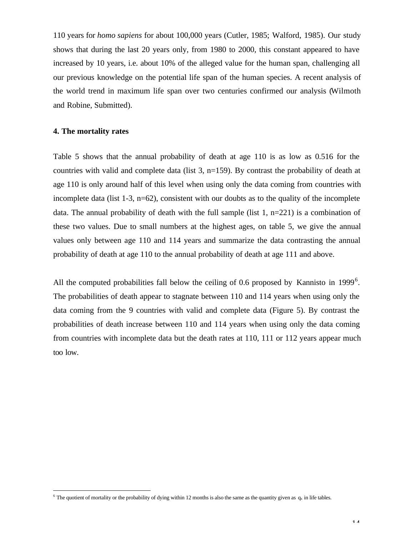110 years for *homo sapiens* for about 100,000 years (Cutler, 1985; Walford, 1985). Our study shows that during the last 20 years only, from 1980 to 2000, this constant appeared to have increased by 10 years, i.e. about 10% of the alleged value for the human span, challenging all our previous knowledge on the potential life span of the human species. A recent analysis of the world trend in maximum life span over two centuries confirmed our analysis (Wilmoth and Robine, Submitted).

### **4. The mortality rates**

 $\overline{a}$ 

Table 5 shows that the annual probability of death at age 110 is as low as 0.516 for the countries with valid and complete data (list 3, n=159). By contrast the probability of death at age 110 is only around half of this level when using only the data coming from countries with incomplete data (list  $1-3$ ,  $n=62$ ), consistent with our doubts as to the quality of the incomplete data. The annual probability of death with the full sample (list  $1, n=221$ ) is a combination of these two values. Due to small numbers at the highest ages, on table 5, we give the annual values only between age 110 and 114 years and summarize the data contrasting the annual probability of death at age 110 to the annual probability of death at age 111 and above.

All the computed probabilities fall below the ceiling of 0.6 proposed by Kannisto in 1999<sup>6</sup>. The probabilities of death appear to stagnate between 110 and 114 years when using only the data coming from the 9 countries with valid and complete data (Figure 5). By contrast the probabilities of death increase between 110 and 114 years when using only the data coming from countries with incomplete data but the death rates at 110, 111 or 112 years appear much too low.

<sup>&</sup>lt;sup>6</sup> The quotient of mortality or the probability of dying within 12 months is also the same as the quantity given as  $q_x$  in life tables.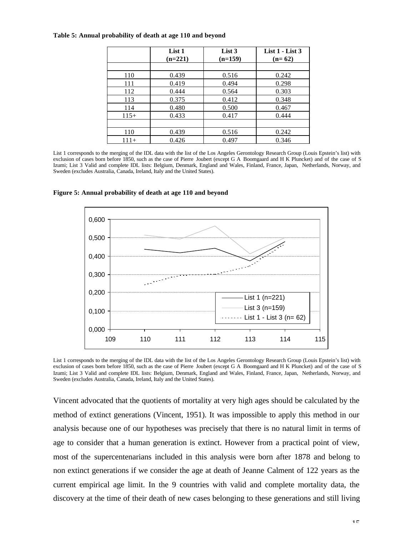|        | List 1    | List 3    | List $1 -$ List $3$ |
|--------|-----------|-----------|---------------------|
|        | $(n=221)$ | $(n=159)$ | $(n=62)$            |
| 110    | 0.439     | 0.516     | 0.242               |
| 111    | 0.419     | 0.494     | 0.298               |
| 112    | 0.444     | 0.564     | 0.303               |
| 113    | 0.375     | 0.412     | 0.348               |
| 114    | 0.480     | 0.500     | 0.467               |
| $115+$ | 0.433     | 0.417     | 0.444               |
|        |           |           |                     |
| 110    | 0.439     | 0.516     | 0.242               |
| $111+$ | 0.426     | 0.497     | 0.346               |

#### **Table 5: Annual probability of death at age 110 and beyond**

List 1 corresponds to the merging of the IDL data with the list of the Los Angeles Gerontology Research Group (Louis Epstein's list) with exclusion of cases born before 1850, such as the case of Pierre Joubert (except G A Boomgaard and H K Pluncket) and of the case of S Izumi; List 3 Valid and complete IDL lists: Belgium, Denmark, England and Wales, Finland, France, Japan, Netherlands, Norway, and Sweden (excludes Australia, Canada, Ireland, Italy and the United States).



**Figure 5: Annual probability of death at age 110 and beyond**

List 1 corresponds to the merging of the IDL data with the list of the Los Angeles Gerontology Research Group (Louis Epstein's list) with exclusion of cases born before 1850, such as the case of Pierre Joubert (except G A Boomgaard and H K Pluncket) and of the case of S Izumi; List 3 Valid and complete IDL lists: Belgium, Denmark, England and Wales, Finland, France, Japan, Netherlands, Norway, and Sweden (excludes Australia, Canada, Ireland, Italy and the United States).

Vincent advocated that the quotients of mortality at very high ages should be calculated by the method of extinct generations (Vincent, 1951). It was impossible to apply this method in our analysis because one of our hypotheses was precisely that there is no natural limit in terms of age to consider that a human generation is extinct. However from a practical point of view, most of the supercentenarians included in this analysis were born after 1878 and belong to non extinct generations if we consider the age at death of Jeanne Calment of 122 years as the current empirical age limit. In the 9 countries with valid and complete mortality data, the discovery at the time of their death of new cases belonging to these generations and still living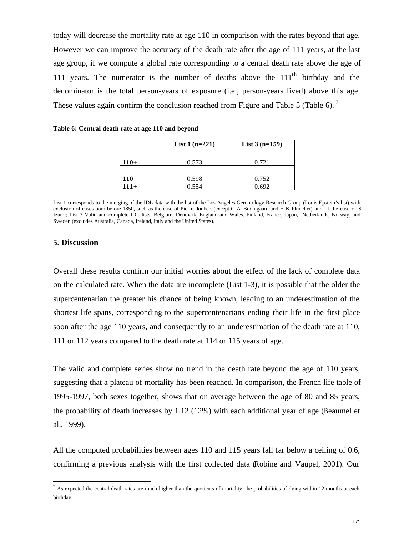today will decrease the mortality rate at age 110 in comparison with the rates beyond that age. However we can improve the accuracy of the death rate after the age of 111 years, at the last age group, if we compute a global rate corresponding to a central death rate above the age of 111 years. The numerator is the number of deaths above the  $111<sup>th</sup>$  birthday and the denominator is the total person-years of exposure (i.e., person-years lived) above this age. These values again confirm the conclusion reached from Figure and Table 5 (Table 6).<sup>7</sup>

|            | List $1(n=221)$ | <b>List 3 <math>(n=159)</math></b> |
|------------|-----------------|------------------------------------|
|            |                 |                                    |
| $110+$     | 0.573           | 0.721                              |
|            |                 |                                    |
| <b>110</b> | 0.598           | 0.752                              |
| $111+$     | 0.554           | 0.692                              |

**Table 6: Central death rate at age 110 and beyond**

List 1 corresponds to the merging of the IDL data with the list of the Los Angeles Gerontology Research Group (Louis Epstein's list) with exclusion of cases born before 1850, such as the case of Pierre Joubert (except G A Boomgaard and H K Pluncket) and of the case of S Izumi; List 3 Valid and complete IDL lists: Belgium, Denmark, England and Wales, Finland, France, Japan, Netherlands, Norway, and Sweden (excludes Australia, Canada, Ireland, Italy and the United States).

#### **5. Discussion**

 $\overline{a}$ 

Overall these results confirm our initial worries about the effect of the lack of complete data on the calculated rate. When the data are incomplete (List 1-3), it is possible that the older the supercentenarian the greater his chance of being known, leading to an underestimation of the shortest life spans, corresponding to the supercentenarians ending their life in the first place soon after the age 110 years, and consequently to an underestimation of the death rate at 110, 111 or 112 years compared to the death rate at 114 or 115 years of age.

The valid and complete series show no trend in the death rate beyond the age of 110 years, suggesting that a plateau of mortality has been reached. In comparison, the French life table of 1995-1997, both sexes together, shows that on average between the age of 80 and 85 years, the probability of death increases by 1.12 (12%) with each additional year of age (Beaumel et al., 1999).

All the computed probabilities between ages 110 and 115 years fall far below a ceiling of 0.6, confirming a previous analysis with the first collected data (Robine and Vaupel, 2001). Our

 $^7$  As expected the central death rates are much higher than the quotients of mortality, the probabilities of dying within 12 months at each birthday.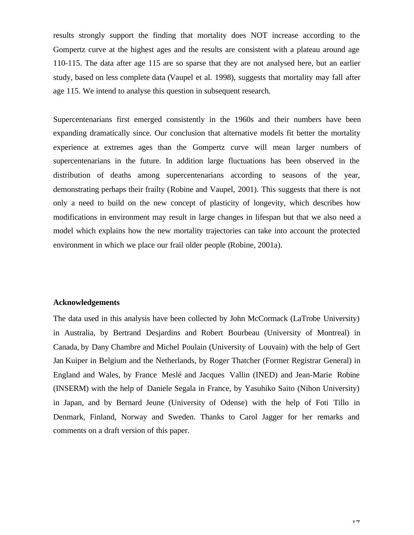results strongly support the finding that mortality does NOT increase according to the Gompertz curve at the highest ages and the results are consistent with a plateau around age 110-115. The data after age 115 are so sparse that they are not analysed here, but an earlier study, based on less complete data (Vaupel et al. 1998), suggests that mortality may fall after age 115. We intend to analyse this question in subsequent research.

Supercentenarians first emerged consistently in the 1960s and their numbers have been expanding dramatically since. Our conclusion that alternative models fit better the mortality experience at extremes ages than the Gompertz curve will mean larger numbers of supercentenarians in the future. In addition large fluctuations has been observed in the distribution of deaths among supercentenarians according to seasons of the year, demonstrating perhaps their frailty (Robine and Vaupel, 2001). This suggests that there is not only a need to build on the new concept of plasticity of longevity, which describes how modifications in environment may result in large changes in lifespan but that we also need a model which explains how the new mortality trajectories can take into account the protected environment in which we place our frail older people (Robine, 2001a).

## **Acknowledgements**

The data used in this analysis have been collected by John McCormack (LaTrobe University) in Australia, by Bertrand Desjardins and Robert Bourbeau (University of Montreal) in Canada, by Dany Chambre and Michel Poulain (University of Louvain) with the help of Gert Jan Kuiper in Belgium and the Netherlands, by Roger Thatcher (Former Registrar General) in England and Wales, by France Meslé and Jacques Vallin (INED) and Jean-Marie Robine (INSERM) with the help of Daniele Segala in France, by Yasuhiko Saito (Nihon University) in Japan, and by Bernard Jeune (University of Odense) with the help of Foti Tillo in Denmark, Finland, Norway and Sweden. Thanks to Carol Jagger for her remarks and comments on a draft version of this paper.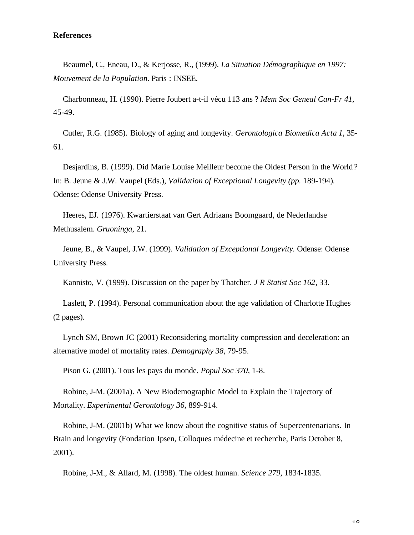# **References**

Beaumel, C., Eneau, D., & Kerjosse, R., (1999). *La Situation Démographique en 1997: Mouvement de la Population*. Paris : INSEE.

Charbonneau, H. (1990). Pierre Joubert a-t-il vécu 113 ans ? *Mem Soc Geneal Can-Fr 41,* 45-49.

Cutler, R.G. (1985). Biology of aging and longevity. *Gerontologica Biomedica Acta 1,* 35- 61.

Desjardins, B. (1999). Did Marie Louise Meilleur become the Oldest Person in the World*?* In: B. Jeune & J.W. Vaupel (Eds.), *Validation of Exceptional Longevity (pp.* 189-194)*.* Odense: Odense University Press.

Heeres, EJ. (1976). Kwartierstaat van Gert Adriaans Boomgaard, de Nederlandse Methusalem. *Gruoninga*, 21.

Jeune, B., & Vaupel, J.W. (1999). *Validation of Exceptional Longevity.* Odense: Odense University Press.

Kannisto, V. (1999). Discussion on the paper by Thatcher. *J R Statist Soc 162,* 33.

Laslett, P. (1994). Personal communication about the age validation of Charlotte Hughes (2 pages).

Lynch SM, Brown JC (2001) Reconsidering mortality compression and deceleration: an alternative model of mortality rates. *Demography 38,* 79-95.

Pison G. (2001). Tous les pays du monde. *Popul Soc 370,* 1-8.

Robine, J-M. (2001a). A New Biodemographic Model to Explain the Trajectory of Mortality. *Experimental Gerontology 36,* 899-914.

Robine, J-M. (2001b) What we know about the cognitive status of Supercentenarians. In Brain and longevity (Fondation Ipsen, Colloques médecine et recherche, Paris October 8, 2001).

Robine, J-M., & Allard, M. (1998). The oldest human. *Science 279,* 1834-1835.